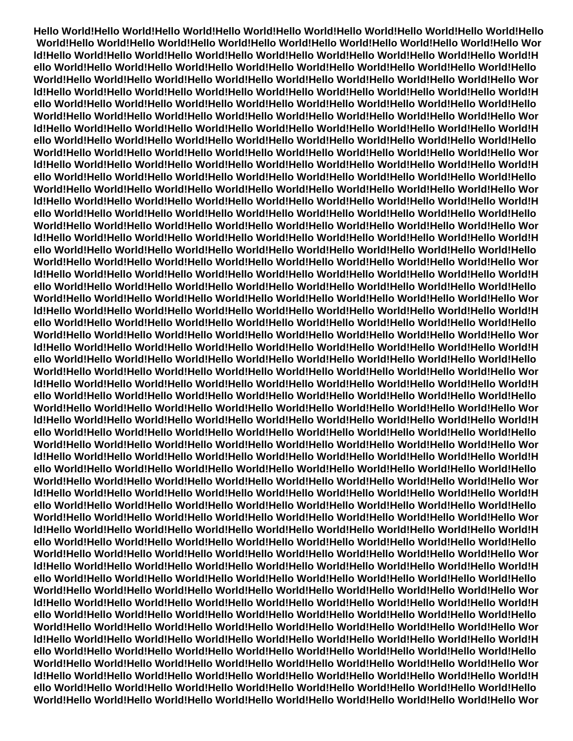**Hello World!Hello World!Hello World!Hello World!Hello World!Hello World!Hello World!Hello World!Hello World!Hello World!Hello World!Hello World!Hello World!Hello World!Hello World!Hello World!Hello Wor ld!Hello World!Hello World!Hello World!Hello World!Hello World!Hello World!Hello World!Hello World!H ello World!Hello World!Hello World!Hello World!Hello World!Hello World!Hello World!Hello World!Hello World!Hello World!Hello World!Hello World!Hello World!Hello World!Hello World!Hello World!Hello Wor ld!Hello World!Hello World!Hello World!Hello World!Hello World!Hello World!Hello World!Hello World!H ello World!Hello World!Hello World!Hello World!Hello World!Hello World!Hello World!Hello World!Hello World!Hello World!Hello World!Hello World!Hello World!Hello World!Hello World!Hello World!Hello Wor ld!Hello World!Hello World!Hello World!Hello World!Hello World!Hello World!Hello World!Hello World!H ello World!Hello World!Hello World!Hello World!Hello World!Hello World!Hello World!Hello World!Hello World!Hello World!Hello World!Hello World!Hello World!Hello World!Hello World!Hello World!Hello Wor ld!Hello World!Hello World!Hello World!Hello World!Hello World!Hello World!Hello World!Hello World!H ello World!Hello World!Hello World!Hello World!Hello World!Hello World!Hello World!Hello World!Hello World!Hello World!Hello World!Hello World!Hello World!Hello World!Hello World!Hello World!Hello Wor ld!Hello World!Hello World!Hello World!Hello World!Hello World!Hello World!Hello World!Hello World!H ello World!Hello World!Hello World!Hello World!Hello World!Hello World!Hello World!Hello World!Hello World!Hello World!Hello World!Hello World!Hello World!Hello World!Hello World!Hello World!Hello Wor ld!Hello World!Hello World!Hello World!Hello World!Hello World!Hello World!Hello World!Hello World!H ello World!Hello World!Hello World!Hello World!Hello World!Hello World!Hello World!Hello World!Hello World!Hello World!Hello World!Hello World!Hello World!Hello World!Hello World!Hello World!Hello Wor ld!Hello World!Hello World!Hello World!Hello World!Hello World!Hello World!Hello World!Hello World!H ello World!Hello World!Hello World!Hello World!Hello World!Hello World!Hello World!Hello World!Hello World!Hello World!Hello World!Hello World!Hello World!Hello World!Hello World!Hello World!Hello Wor ld!Hello World!Hello World!Hello World!Hello World!Hello World!Hello World!Hello World!Hello World!H ello World!Hello World!Hello World!Hello World!Hello World!Hello World!Hello World!Hello World!Hello World!Hello World!Hello World!Hello World!Hello World!Hello World!Hello World!Hello World!Hello Wor ld!Hello World!Hello World!Hello World!Hello World!Hello World!Hello World!Hello World!Hello World!H ello World!Hello World!Hello World!Hello World!Hello World!Hello World!Hello World!Hello World!Hello World!Hello World!Hello World!Hello World!Hello World!Hello World!Hello World!Hello World!Hello Wor ld!Hello World!Hello World!Hello World!Hello World!Hello World!Hello World!Hello World!Hello World!H ello World!Hello World!Hello World!Hello World!Hello World!Hello World!Hello World!Hello World!Hello World!Hello World!Hello World!Hello World!Hello World!Hello World!Hello World!Hello World!Hello Wor ld!Hello World!Hello World!Hello World!Hello World!Hello World!Hello World!Hello World!Hello World!H ello World!Hello World!Hello World!Hello World!Hello World!Hello World!Hello World!Hello World!Hello World!Hello World!Hello World!Hello World!Hello World!Hello World!Hello World!Hello World!Hello Wor ld!Hello World!Hello World!Hello World!Hello World!Hello World!Hello World!Hello World!Hello World!H ello World!Hello World!Hello World!Hello World!Hello World!Hello World!Hello World!Hello World!Hello World!Hello World!Hello World!Hello World!Hello World!Hello World!Hello World!Hello World!Hello Wor ld!Hello World!Hello World!Hello World!Hello World!Hello World!Hello World!Hello World!Hello World!H ello World!Hello World!Hello World!Hello World!Hello World!Hello World!Hello World!Hello World!Hello World!Hello World!Hello World!Hello World!Hello World!Hello World!Hello World!Hello World!Hello Wor ld!Hello World!Hello World!Hello World!Hello World!Hello World!Hello World!Hello World!Hello World!H ello World!Hello World!Hello World!Hello World!Hello World!Hello World!Hello World!Hello World!Hello World!Hello World!Hello World!Hello World!Hello World!Hello World!Hello World!Hello World!Hello Wor ld!Hello World!Hello World!Hello World!Hello World!Hello World!Hello World!Hello World!Hello World!H ello World!Hello World!Hello World!Hello World!Hello World!Hello World!Hello World!Hello World!Hello World!Hello World!Hello World!Hello World!Hello World!Hello World!Hello World!Hello World!Hello Wor ld!Hello World!Hello World!Hello World!Hello World!Hello World!Hello World!Hello World!Hello World!H ello World!Hello World!Hello World!Hello World!Hello World!Hello World!Hello World!Hello World!Hello World!Hello World!Hello World!Hello World!Hello World!Hello World!Hello World!Hello World!Hello Wor ld!Hello World!Hello World!Hello World!Hello World!Hello World!Hello World!Hello World!Hello World!H ello World!Hello World!Hello World!Hello World!Hello World!Hello World!Hello World!Hello World!Hello World!Hello World!Hello World!Hello World!Hello World!Hello World!Hello World!Hello World!Hello Wor ld!Hello World!Hello World!Hello World!Hello World!Hello World!Hello World!Hello World!Hello World!H ello World!Hello World!Hello World!Hello World!Hello World!Hello World!Hello World!Hello World!Hello World!Hello World!Hello World!Hello World!Hello World!Hello World!Hello World!Hello World!Hello Wor**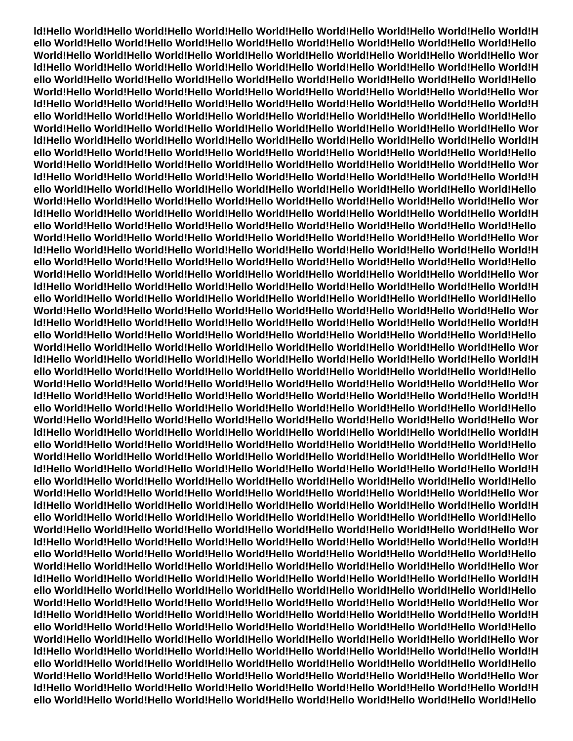**ld!Hello World!Hello World!Hello World!Hello World!Hello World!Hello World!Hello World!Hello World!H ello World!Hello World!Hello World!Hello World!Hello World!Hello World!Hello World!Hello World!Hello World!Hello World!Hello World!Hello World!Hello World!Hello World!Hello World!Hello World!Hello Wor ld!Hello World!Hello World!Hello World!Hello World!Hello World!Hello World!Hello World!Hello World!H ello World!Hello World!Hello World!Hello World!Hello World!Hello World!Hello World!Hello World!Hello World!Hello World!Hello World!Hello World!Hello World!Hello World!Hello World!Hello World!Hello Wor ld!Hello World!Hello World!Hello World!Hello World!Hello World!Hello World!Hello World!Hello World!H ello World!Hello World!Hello World!Hello World!Hello World!Hello World!Hello World!Hello World!Hello World!Hello World!Hello World!Hello World!Hello World!Hello World!Hello World!Hello World!Hello Wor ld!Hello World!Hello World!Hello World!Hello World!Hello World!Hello World!Hello World!Hello World!H ello World!Hello World!Hello World!Hello World!Hello World!Hello World!Hello World!Hello World!Hello World!Hello World!Hello World!Hello World!Hello World!Hello World!Hello World!Hello World!Hello Wor ld!Hello World!Hello World!Hello World!Hello World!Hello World!Hello World!Hello World!Hello World!H ello World!Hello World!Hello World!Hello World!Hello World!Hello World!Hello World!Hello World!Hello World!Hello World!Hello World!Hello World!Hello World!Hello World!Hello World!Hello World!Hello Wor ld!Hello World!Hello World!Hello World!Hello World!Hello World!Hello World!Hello World!Hello World!H ello World!Hello World!Hello World!Hello World!Hello World!Hello World!Hello World!Hello World!Hello World!Hello World!Hello World!Hello World!Hello World!Hello World!Hello World!Hello World!Hello Wor ld!Hello World!Hello World!Hello World!Hello World!Hello World!Hello World!Hello World!Hello World!H ello World!Hello World!Hello World!Hello World!Hello World!Hello World!Hello World!Hello World!Hello World!Hello World!Hello World!Hello World!Hello World!Hello World!Hello World!Hello World!Hello Wor ld!Hello World!Hello World!Hello World!Hello World!Hello World!Hello World!Hello World!Hello World!H ello World!Hello World!Hello World!Hello World!Hello World!Hello World!Hello World!Hello World!Hello World!Hello World!Hello World!Hello World!Hello World!Hello World!Hello World!Hello World!Hello Wor ld!Hello World!Hello World!Hello World!Hello World!Hello World!Hello World!Hello World!Hello World!H ello World!Hello World!Hello World!Hello World!Hello World!Hello World!Hello World!Hello World!Hello World!Hello World!Hello World!Hello World!Hello World!Hello World!Hello World!Hello World!Hello Wor ld!Hello World!Hello World!Hello World!Hello World!Hello World!Hello World!Hello World!Hello World!H ello World!Hello World!Hello World!Hello World!Hello World!Hello World!Hello World!Hello World!Hello World!Hello World!Hello World!Hello World!Hello World!Hello World!Hello World!Hello World!Hello Wor ld!Hello World!Hello World!Hello World!Hello World!Hello World!Hello World!Hello World!Hello World!H ello World!Hello World!Hello World!Hello World!Hello World!Hello World!Hello World!Hello World!Hello World!Hello World!Hello World!Hello World!Hello World!Hello World!Hello World!Hello World!Hello Wor ld!Hello World!Hello World!Hello World!Hello World!Hello World!Hello World!Hello World!Hello World!H ello World!Hello World!Hello World!Hello World!Hello World!Hello World!Hello World!Hello World!Hello World!Hello World!Hello World!Hello World!Hello World!Hello World!Hello World!Hello World!Hello Wor ld!Hello World!Hello World!Hello World!Hello World!Hello World!Hello World!Hello World!Hello World!H ello World!Hello World!Hello World!Hello World!Hello World!Hello World!Hello World!Hello World!Hello World!Hello World!Hello World!Hello World!Hello World!Hello World!Hello World!Hello World!Hello Wor ld!Hello World!Hello World!Hello World!Hello World!Hello World!Hello World!Hello World!Hello World!H ello World!Hello World!Hello World!Hello World!Hello World!Hello World!Hello World!Hello World!Hello World!Hello World!Hello World!Hello World!Hello World!Hello World!Hello World!Hello World!Hello Wor ld!Hello World!Hello World!Hello World!Hello World!Hello World!Hello World!Hello World!Hello World!H ello World!Hello World!Hello World!Hello World!Hello World!Hello World!Hello World!Hello World!Hello World!Hello World!Hello World!Hello World!Hello World!Hello World!Hello World!Hello World!Hello Wor ld!Hello World!Hello World!Hello World!Hello World!Hello World!Hello World!Hello World!Hello World!H ello World!Hello World!Hello World!Hello World!Hello World!Hello World!Hello World!Hello World!Hello World!Hello World!Hello World!Hello World!Hello World!Hello World!Hello World!Hello World!Hello Wor ld!Hello World!Hello World!Hello World!Hello World!Hello World!Hello World!Hello World!Hello World!H ello World!Hello World!Hello World!Hello World!Hello World!Hello World!Hello World!Hello World!Hello World!Hello World!Hello World!Hello World!Hello World!Hello World!Hello World!Hello World!Hello Wor ld!Hello World!Hello World!Hello World!Hello World!Hello World!Hello World!Hello World!Hello World!H ello World!Hello World!Hello World!Hello World!Hello World!Hello World!Hello World!Hello World!Hello World!Hello World!Hello World!Hello World!Hello World!Hello World!Hello World!Hello World!Hello Wor ld!Hello World!Hello World!Hello World!Hello World!Hello World!Hello World!Hello World!Hello World!H ello World!Hello World!Hello World!Hello World!Hello World!Hello World!Hello World!Hello World!Hello**